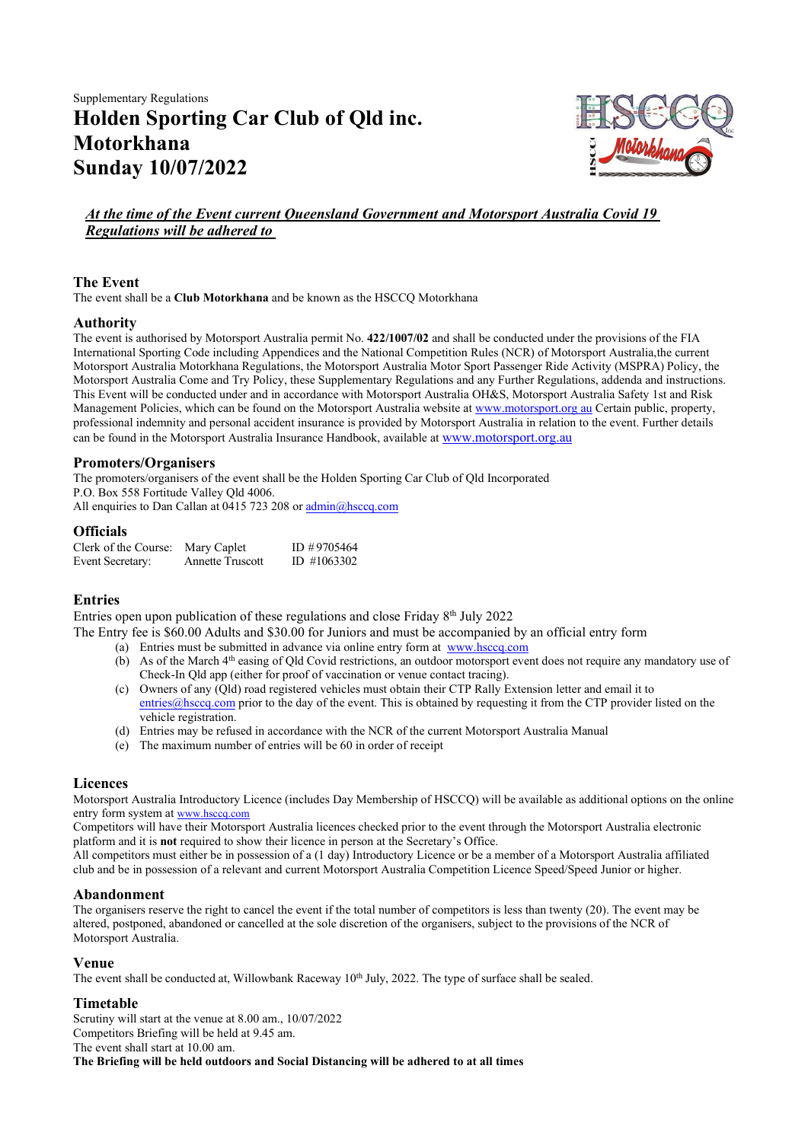# Supplementary Regulations Holden Sporting Car Club of Qld inc. Motorkhana Sunday 10/07/2022



## At the time of the Event current Queensland Government and Motorsport Australia Covid 19 Regulations will be adhered to

## The Event

The event shall be a Club Motorkhana and be known as the HSCCQ Motorkhana

## Authority

The event is authorised by Motorsport Australia permit No. 422/1007/02 and shall be conducted under the provisions of the FIA International Sporting Code including Appendices and the National Competition Rules (NCR) of Motorsport Australia, the current Motorsport Australia Motorkhana Regulations, the Motorsport Australia Motor Sport Passenger Ride Activity (MSPRA) Policy, the Motorsport Australia Come and Try Policy, these Supplementary Regulations and any Further Regulations, addenda and instructions. This Event will be conducted under and in accordance with Motorsport Australia OH&S, Motorsport Australia Safety 1st and Risk Management Policies, which can be found on the Motorsport Australia website at www.motorsport.org au Certain public, property, professional indemnity and personal accident insurance is provided by Motorsport Australia in relation to the event. Further details can be found in the Motorsport Australia Insurance Handbook, available at www.motorsport.org.au

## Promoters/Organisers

The promoters/organisers of the event shall be the Holden Sporting Car Club of Qld Incorporated P.O. Box 558 Fortitude Valley Qld 4006. All enquiries to Dan Callan at 0415 723 208 or admin@hsccq.com

#### **Officials**

| Clerk of the Course: | Mary Caplet             | ID #9705464 |
|----------------------|-------------------------|-------------|
| Event Secretary:     | <b>Annette Truscott</b> | ID #1063302 |

## Entries

Entries open upon publication of these regulations and close Friday  $8<sup>th</sup>$  July 2022

The Entry fee is \$60.00 Adults and \$30.00 for Juniors and must be accompanied by an official entry form

- (a) Entries must be submitted in advance via online entry form at www.hsccq.com
- (b) As of the March  $4<sup>th</sup>$  easing of Qld Covid restrictions, an outdoor motorsport event does not require any mandatory use of Check-In Qld app (either for proof of vaccination or venue contact tracing).
- (c) Owners of any (Qld) road registered vehicles must obtain their CTP Rally Extension letter and email it to entries@hsccq.com prior to the day of the event. This is obtained by requesting it from the CTP provider listed on the vehicle registration.
- (d) Entries may be refused in accordance with the NCR of the current Motorsport Australia Manual
- (e) The maximum number of entries will be 60 in order of receipt

#### Licences

Motorsport Australia Introductory Licence (includes Day Membership of HSCCQ) will be available as additional options on the online entry form system at www.hsccq.com

Competitors will have their Motorsport Australia licences checked prior to the event through the Motorsport Australia electronic platform and it is not required to show their licence in person at the Secretary's Office.

All competitors must either be in possession of a (1 day) Introductory Licence or be a member of a Motorsport Australia affiliated club and be in possession of a relevant and current Motorsport Australia Competition Licence Speed/Speed Junior or higher.

## Abandonment

The organisers reserve the right to cancel the event if the total number of competitors is less than twenty (20). The event may be altered, postponed, abandoned or cancelled at the sole discretion of the organisers, subject to the provisions of the NCR of Motorsport Australia.

#### Venue

The event shall be conducted at, Willowbank Raceway  $10^{th}$  July, 2022. The type of surface shall be sealed.

#### Timetable

Scrutiny will start at the venue at 8.00 am., 10/07/2022 Competitors Briefing will be held at 9.45 am. The event shall start at 10.00 am. The Briefing will be held outdoors and Social Distancing will be adhered to at all times